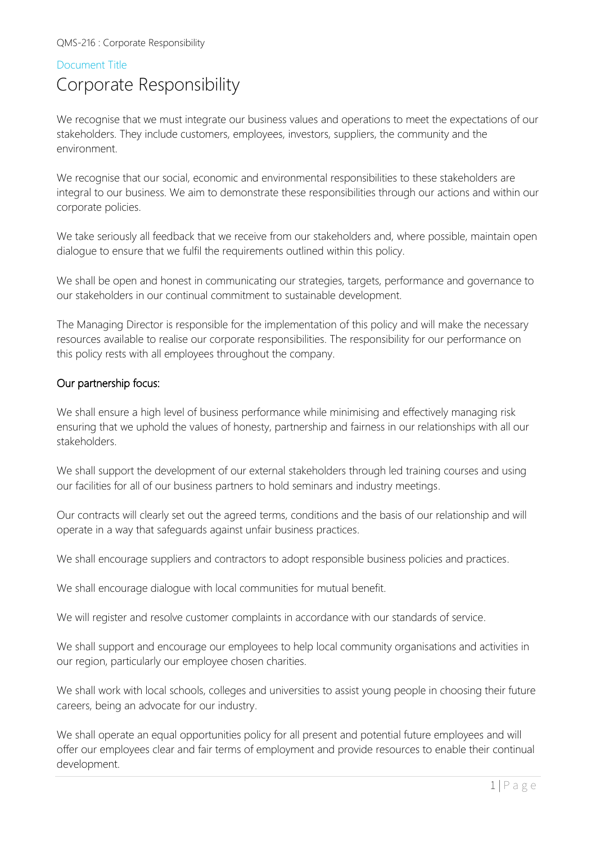#### Document Title

## Corporate Responsibility

We recognise that we must integrate our business values and operations to meet the expectations of our stakeholders. They include customers, employees, investors, suppliers, the community and the environment.

We recognise that our social, economic and environmental responsibilities to these stakeholders are integral to our business. We aim to demonstrate these responsibilities through our actions and within our corporate policies.

We take seriously all feedback that we receive from our stakeholders and, where possible, maintain open dialogue to ensure that we fulfil the requirements outlined within this policy.

We shall be open and honest in communicating our strategies, targets, performance and governance to our stakeholders in our continual commitment to sustainable development.

The Managing Director is responsible for the implementation of this policy and will make the necessary resources available to realise our corporate responsibilities. The responsibility for our performance on this policy rests with all employees throughout the company.

#### Our partnership focus:

We shall ensure a high level of business performance while minimising and effectively managing risk ensuring that we uphold the values of honesty, partnership and fairness in our relationships with all our stakeholders.

We shall support the development of our external stakeholders through led training courses and using our facilities for all of our business partners to hold seminars and industry meetings.

Our contracts will clearly set out the agreed terms, conditions and the basis of our relationship and will operate in a way that safeguards against unfair business practices.

We shall encourage suppliers and contractors to adopt responsible business policies and practices.

We shall encourage dialogue with local communities for mutual benefit.

We will register and resolve customer complaints in accordance with our standards of service.

We shall support and encourage our employees to help local community organisations and activities in our region, particularly our employee chosen charities.

We shall work with local schools, colleges and universities to assist young people in choosing their future careers, being an advocate for our industry.

We shall operate an equal opportunities policy for all present and potential future employees and will offer our employees clear and fair terms of employment and provide resources to enable their continual development.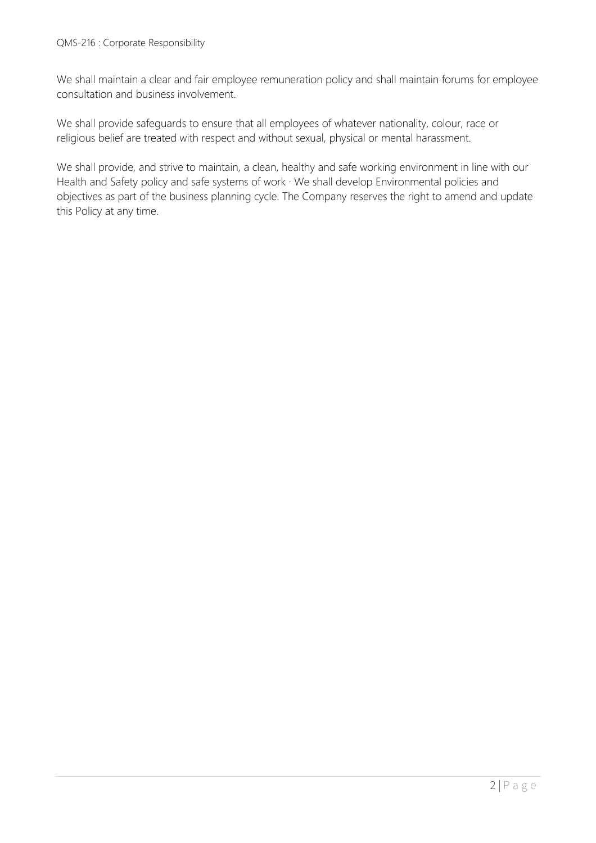We shall maintain a clear and fair employee remuneration policy and shall maintain forums for employee consultation and business involvement.

We shall provide safeguards to ensure that all employees of whatever nationality, colour, race or religious belief are treated with respect and without sexual, physical or mental harassment.

We shall provide, and strive to maintain, a clean, healthy and safe working environment in line with our Health and Safety policy and safe systems of work  $\cdot$  We shall develop Environmental policies and objectives as part of the business planning cycle. The Company reserves the right to amend and update this Policy at any time.